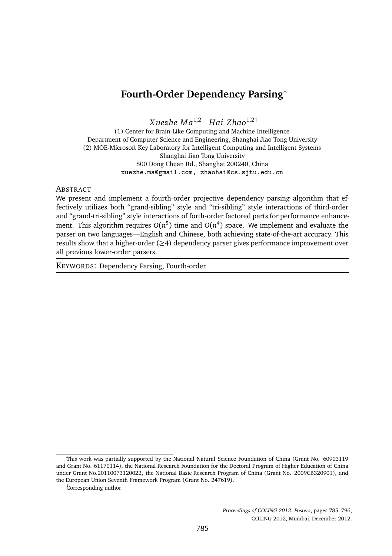# **Fourth-Order Dependency Parsing**<sup>∗</sup>

*X uezhe M a*1,2 *Hai Zhao*1,2†

(1) Center for Brain-Like Computing and Machine Intelligence Department of Computer Science and Engineering, Shanghai Jiao Tong University (2) MOE-Microsoft Key Laboratory for Intelligent Computing and Intelligent Systems Shanghai Jiao Tong University 800 Dong Chuan Rd., Shanghai 200240, China xuezhe.ma@gmail.com, zhaohai@cs.sjtu.edu.cn

#### **ABSTRACT**

We present and implement a fourth-order projective dependency parsing algorithm that effectively utilizes both "grand-sibling" style and "tri-sibling" style interactions of third-order and "grand-tri-sibling" style interactions of forth-order factored parts for performance enhancement. This algorithm requires  $O(n^5)$  time and  $O(n^4)$  space. We implement and evaluate the parser on two languages—English and Chinese, both achieving state-of-the-art accuracy. This results show that a higher-order  $(\geq 4)$  dependency parser gives performance improvement over all previous lower-order parsers.

KEYWORDS: Dependency Parsing, Fourth-order.

This work was partially supported by the National Natural Science Foundation of China (Grant No. 60903119 and Grant No. 61170114), the National Research Foundation for the Doctoral Program of Higher Education of China under Grant No.20110073120022, the National Basic Research Program of China (Grant No. 2009CB320901), and the European Union Seventh Framework Program (Grant No. 247619).

<sup>†</sup>Corresponding author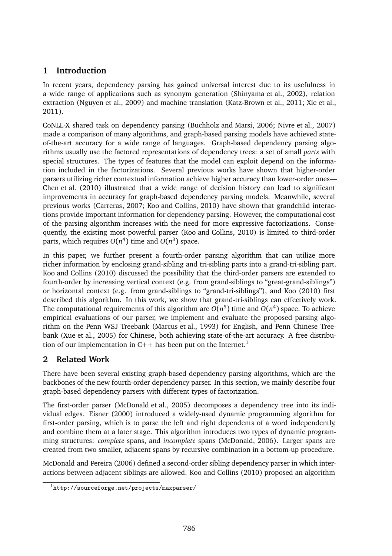# **1 Introduction**

In recent years, dependency parsing has gained universal interest due to its usefulness in a wide range of applications such as synonym generation (Shinyama et al., 2002), relation extraction (Nguyen et al., 2009) and machine translation (Katz-Brown et al., 2011; Xie et al., 2011).

CoNLL-X shared task on dependency parsing (Buchholz and Marsi, 2006; Nivre et al., 2007) made a comparison of many algorithms, and graph-based parsing models have achieved stateof-the-art accuracy for a wide range of languages. Graph-based dependency parsing algorithms usually use the factored representations of dependency trees: a set of small *parts* with special structures. The types of features that the model can exploit depend on the information included in the factorizations. Several previous works have shown that higher-order parsers utilizing richer contextual information achieve higher accuracy than lower-order ones— Chen et al. (2010) illustrated that a wide range of decision history can lead to significant improvements in accuracy for graph-based dependency parsing models. Meanwhile, several previous works (Carreras, 2007; Koo and Collins, 2010) have shown that grandchild interactions provide important information for dependency parsing. However, the computational cost of the parsing algorithm increases with the need for more expressive factorizations. Consequently, the existing most powerful parser (Koo and Collins, 2010) is limited to third-order parts, which requires  $O(n^4)$  time and  $O(n^3)$  space.

In this paper, we further present a fourth-order parsing algorithm that can utilize more richer information by enclosing grand-sibling and tri-sibling parts into a grand-tri-sibling part. Koo and Collins (2010) discussed the possibility that the third-order parsers are extended to fourth-order by increasing vertical context (e.g. from grand-siblings to "great-grand-siblings") or horizontal context (e.g. from grand-siblings to "grand-tri-siblings"), and Koo (2010) first described this algorithm. In this work, we show that grand-tri-siblings can effectively work. The computational requirements of this algorithm are  $O(n^5)$  time and  $O(n^4)$  space. To achieve empirical evaluations of our parser, we implement and evaluate the proposed parsing algorithm on the Penn WSJ Treebank (Marcus et al., 1993) for English, and Penn Chinese Treebank (Xue et al., 2005) for Chinese, both achieving state-of-the-art accuracy. A free distribution of our implementation in  $C_{++}$  has been put on the Internet.<sup>1</sup>

# **2 Related Work**

There have been several existing graph-based dependency parsing algorithms, which are the backbones of the new fourth-order dependency parser. In this section, we mainly describe four graph-based dependency parsers with different types of factorization.

The first-order parser (McDonald et al., 2005) decomposes a dependency tree into its individual edges. Eisner (2000) introduced a widely-used dynamic programming algorithm for first-order parsing, which is to parse the left and right dependents of a word independently, and combine them at a later stage. This algorithm introduces two types of dynamic programming structures: *complete* spans, and *incomplete* spans (McDonald, 2006). Larger spans are created from two smaller, adjacent spans by recursive combination in a bottom-up procedure.

McDonald and Pereira (2006) defined a second-order sibling dependency parser in which interactions between adjacent siblings are allowed. Koo and Collins (2010) proposed an algorithm

<sup>1</sup>http://sourceforge.net/projects/maxparser/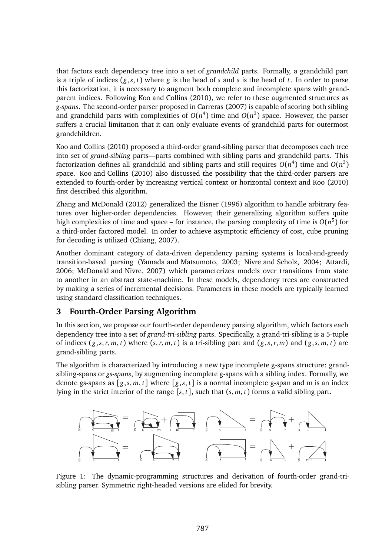that factors each dependency tree into a set of *grandchild* parts. Formally, a grandchild part is a triple of indices  $(g, s, t)$  where  $g$  is the head of  $s$  and  $s$  is the head of  $t$ . In order to parse this factorization, it is necessary to augment both complete and incomplete spans with grandparent indices. Following Koo and Collins (2010), we refer to these augmented structures as *g-spans*. The second-order parser proposed in Carreras (2007) is capable of scoring both sibling and grandchild parts with complexities of  $O(n^4)$  time and  $O(n^3)$  space. However, the parser suffers a crucial limitation that it can only evaluate events of grandchild parts for outermost grandchildren.

Koo and Collins (2010) proposed a third-order grand-sibling parser that decomposes each tree into set of *grand-sibling* parts—parts combined with sibling parts and grandchild parts. This factorization defines all grandchild and sibling parts and still requires  $O(n^4)$  time and  $O(n^3)$ space. Koo and Collins (2010) also discussed the possibility that the third-order parsers are extended to fourth-order by increasing vertical context or horizontal context and Koo (2010) first described this algorithm.

Zhang and McDonald (2012) generalized the Eisner (1996) algorithm to handle arbitrary features over higher-order dependencies. However, their generalizing algorithm suffers quite high complexities of time and space – for instance, the parsing complexity of time is *O*(*n* 5 ) for a third-order factored model. In order to achieve asymptotic efficiency of cost, cube pruning for decoding is utilized (Chiang, 2007).

Another dominant category of data-driven dependency parsing systems is local-and-greedy transition-based parsing (Yamada and Matsumoto, 2003; Nivre and Scholz, 2004; Attardi, 2006; McDonald and Nivre, 2007) which parameterizes models over transitions from state to another in an abstract state-machine. In these models, dependency trees are constructed by making a series of incremental decisions. Parameters in these models are typically learned using standard classification techniques.

### **3 Fourth-Order Parsing Algorithm**

In this section, we propose our fourth-order dependency parsing algorithm, which factors each dependency tree into a set of *grand-tri-sibling* parts. Specifically, a grand-tri-sibling is a 5-tuple of indices  $(g, s, r, m, t)$  where  $(s, r, m, t)$  is a tri-sibling part and  $(g, s, r, m)$  and  $(g, s, m, t)$  are grand-sibling parts.

The algorithm is characterized by introducing a new type incomplete g-spans structure: grandsibling-spans or *gs-spans*, by augmenting incomplete g-spans with a sibling index. Formally, we denote gs-spans as  $[g, s, m, t]$  where  $[g, s, t]$  is a normal incomplete g-span and m is an index lying in the strict interior of the range  $[s, t]$ , such that  $(s, m, t)$  forms a valid sibling part.



Figure 1: The dynamic-programming structures and derivation of fourth-order grand-trisibling parser. Symmetric right-headed versions are elided for brevity.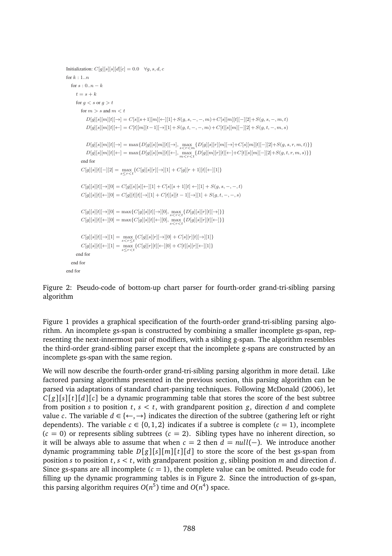```
Initialization: C[q][s][s][d][c] = 0.0 \quad \forall q, s, d, cfor k \cdot 1.n
   for s : 0..n - kt = s + kfor q < s or q > tfor m > s and m < tD[g][s][m][t][\rightarrow]=C[s][s+1][m][\leftarrow][1]+S(g,s,-,-,m)+C[s][m][t[-][2]+S(g,s,-,m,t)D[g][s][m][t]\leftarrow = C[t][m][t-1][\rightarrow][1] + S(g,t,-,-,m) + C[t][s][m][-][2] + S(g,t,-,m,s)D[g][s][m][t] \rightarrow ] = \max\{D[g][s][m][t] \rightarrow ], \max_{s < r < m} \{D[g][s][r][m][\rightarrow] + C[s][m][t] \rightarrow ]\} S(g, s, r, m, t)\}D[g][s][m][t] \leftarrow ] = \max\{D[g][s][m][t] \leftarrow ], \max_{m \leq r \leq t} \{D[g][m][r][t] \leftarrow ] + C[t][s][m] - [2] + S(g, t, r, m, s) \}end for
          C[g][s][t]-][2] = \max_{s \le r < t} \{C[g][s][r] \rightarrow |1] + C[g][r+1][t] \leftarrow |1] \}C[g][s][t]\rightarrow][0] = C[g][s][s][\leftarrow][1] + C[s][s+1][t] \leftarrow][1] + S(g,s,-,-,t)C[g][s][t][\leftarrow][0] = C[g][t][t][\rightarrow][1] + C[t][s][t-1][\rightarrow][1] + S(g,t,-,-,s)C[g][s][t] \rightarrow |0] = \max\{C[g][s][t] \rightarrow |0], \max_{s \leq r \leq t} \{D[g][s][r][t] \rightarrow |t] \}C[g][s][t][←][0] = max\{C[g][s][t][t][←][0], \max_{s < r < t} \{D[g][s][r][t][t][←]}}
          C[g][s][t] \rightarrow ][1] = \max_{s < r \le t} \{C[g][s][r] \rightarrow ][0] + C[s][r][t] \rightarrow ][1] \}C[g][s][t] \leftarrow |[1] = \max_{s \le r \le t} \{C[g][r][t] \leftarrow |[0] + C[t][s][r][\leftarrow][1] \}end for
   end for
end for
```
Figure 2: Pseudo-code of bottom-up chart parser for fourth-order grand-tri-sibling parsing algorithm

Figure 1 provides a graphical specification of the fourth-order grand-tri-sibling parsing algorithm. An incomplete gs-span is constructed by combining a smaller incomplete gs-span, representing the next-innermost pair of modifiers, with a sibling g-span. The algorithm resembles the third-order grand-sibling parser except that the incomplete g-spans are constructed by an incomplete gs-span with the same region.

We will now describe the fourth-order grand-tri-sibling parsing algorithm in more detail. Like factored parsing algorithms presented in the previous section, this parsing algorithm can be parsed via adaptations of standard chart-parsing techniques. Following McDonald (2006), let  $C[g][s][t][d][c]$  be a dynamic programming table that stores the score of the best subtree from position *s* to position  $t, s < t$ , with grandparent position *g*, direction *d* and complete value *c*. The variable  $d \in \{ \leftarrow, \rightarrow \}$  indicates the direction of the subtree (gathering left or right dependents). The variable  $c \in \{0, 1, 2\}$  indicates if a subtree is complete  $(c = 1)$ , incomplete  $(c = 0)$  or represents sibling subtrees  $(c = 2)$ . Sibling types have no inherent direction, so it will be always able to assume that when  $c = 2$  then  $d = null(-)$ . We introduce another dynamic programming table  $D[g][s][m][t][d]$  to store the score of the best gs-span from position *s* to position *t*,  $s < t$ , with grandparent position *g*, sibling position *m* and direction *d*. Since gs-spans are all incomplete  $(c = 1)$ , the complete value can be omitted. Pseudo code for filling up the dynamic programming tables is in Figure 2. Since the introduction of gs-span, this parsing algorithm requires  $O(n^5)$  time and  $O(n^4)$  space.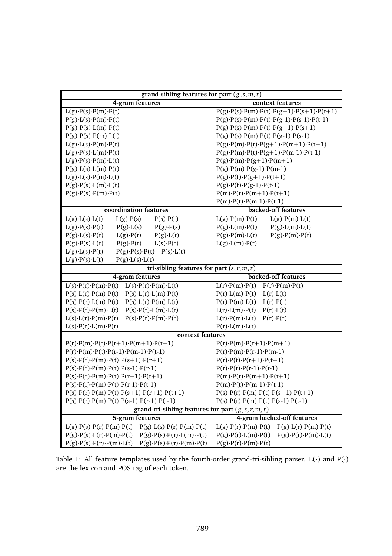| grand-sibling features for part $(g, s, m, t)$                                                                   |                                                                                    |  |  |  |
|------------------------------------------------------------------------------------------------------------------|------------------------------------------------------------------------------------|--|--|--|
| 4-gram features                                                                                                  | context features                                                                   |  |  |  |
| $L(g) \cdot P(s) \cdot P(m) \cdot P(t)$                                                                          | $P(g) \cdot P(s) \cdot P(m) \cdot P(t) \cdot P(g+1) \cdot P(s+1) \cdot P(t+1)$     |  |  |  |
| $P(g) \cdot L(s) \cdot P(m) \cdot P(t)$                                                                          | $P(g) \cdot P(s) \cdot P(m) \cdot P(t) \cdot P(g-1) \cdot P(s-1) \cdot P(t-1)$     |  |  |  |
| $P(g) \cdot P(s) \cdot L(m) \cdot P(t)$                                                                          | $P(g) \cdot P(s) \cdot P(m) \cdot P(t) \cdot P(g+1) \cdot P(s+1)$                  |  |  |  |
| $P(g) \cdot P(s) \cdot P(m) \cdot L(t)$                                                                          | $P(g) \cdot P(s) \cdot P(m) \cdot P(t) \cdot P(g-1) \cdot P(s-1)$                  |  |  |  |
| $L(g) \cdot L(s) \cdot P(m) \cdot P(t)$                                                                          | $P(g) \cdot P(m) \cdot P(t) \cdot P(g+1) \cdot P(m+1) \cdot P(t+1)$                |  |  |  |
| $L(g) \cdot P(s) \cdot L(m) \cdot P(t)$                                                                          | $P(g) \cdot P(m) \cdot P(t) \cdot P(g+1) \cdot P(m-1) \cdot P(t-1)$                |  |  |  |
| $P(g) \cdot P(m) \cdot P(g+1) \cdot P(m+1)$<br>$L(g) \cdot P(s) \cdot P(m) \cdot L(t)$                           |                                                                                    |  |  |  |
| P(g) L(s) L(m) P(t)                                                                                              | $P(g) \cdot P(m) \cdot P(g-1) \cdot P(m-1)$                                        |  |  |  |
| $L(g) \cdot L(s) \cdot P(m) \cdot L(t)$                                                                          | $P(g) \cdot P(t) \cdot P(g+1) \cdot P(t+1)$                                        |  |  |  |
| $P(g) \cdot P(s) \cdot L(m) \cdot L(t)$                                                                          | $P(g) \cdot P(t) \cdot P(g-1) \cdot P(t-1)$                                        |  |  |  |
| $P(g) \cdot P(s) \cdot P(m) \cdot P(t)$                                                                          | $P(m) \cdot P(t) \cdot P(m+1) \cdot P(t+1)$                                        |  |  |  |
|                                                                                                                  | $P(m) \cdot P(t) \cdot P(m-1) \cdot P(t-1)$                                        |  |  |  |
| coordination features                                                                                            | backed-off features                                                                |  |  |  |
| $L(g) \cdot L(s) \cdot L(t)$<br>$L(g) \cdot P(s)$<br>$P(s) \cdot P(t)$                                           | $L(g) \cdot P(m) \cdot P(t)$<br>$L(g) \cdot P(m) \cdot L(t)$                       |  |  |  |
| $L(g) \cdot P(s) \cdot P(t)$<br>$P(g) \cdot L(s)$<br>$P(g) \cdot P(s)$                                           | $P(g) L(m) \cdot P(t)$<br>$P(g) \cdot L(m) \cdot L(t)$                             |  |  |  |
| $P(g) \cdot L(s) \cdot P(t)$<br>$L(g) \cdot P(t)$<br>$P(g) \cdot L(t)$                                           | $P(g) \cdot P(m) \cdot L(t)$<br>$P(g) \cdot P(m) \cdot P(t)$                       |  |  |  |
| $P(g) \cdot P(t)$<br>$L(s) \cdot P(t)$<br>$P(g) \cdot P(s) \cdot L(t)$                                           | $L(g) L(m) \cdot P(t)$                                                             |  |  |  |
| $P(g) \cdot P(s) \cdot P(t)$ $P(s) \cdot L(t)$<br>$L(g) \cdot L(s) \cdot P(t)$                                   |                                                                                    |  |  |  |
| $L(g) \cdot P(s) \cdot L(t)$<br>$P(g) \cdot L(s) \cdot L(t)$                                                     |                                                                                    |  |  |  |
| tri-sibling features for part $(s, r, m, t)$                                                                     |                                                                                    |  |  |  |
| 4-gram features                                                                                                  | backed-off features                                                                |  |  |  |
| $L(s) \cdot P(r) \cdot P(m) \cdot P(t)$ $L(s) \cdot P(r) \cdot P(m) \cdot L(t)$                                  | $P(r) \cdot P(m) \cdot P(t)$<br>$L(r) \cdot P(m) \cdot P(t)$                       |  |  |  |
| $P(s) \cdot L(r) \cdot P(m) \cdot P(t)$ $P(s) \cdot L(r) \cdot L(m) \cdot P(t)$                                  | $P(r) \cdot L(m) \cdot P(t)$<br>$L(r) \cdot L(t)$                                  |  |  |  |
| $P(s) \cdot P(r) \cdot L(m) \cdot P(t)$<br>$P(s) \cdot L(r) \cdot P(m) \cdot L(t)$                               | $P(r) \cdot P(m) \cdot L(t)$<br>$L(r) \cdot P(t)$                                  |  |  |  |
| $P(s) \cdot P(r) \cdot P(m) \cdot L(t)$<br>$P(s) \cdot P(r) \cdot L(m) \cdot L(t)$                               | $L(r) \cdot L(m) \cdot P(t)$<br>$P(r) \cdot L(t)$                                  |  |  |  |
| $L(s) \cdot L(r) \cdot P(m) \cdot P(t)$<br>$P(s) \cdot P(r) \cdot P(m) \cdot P(t)$                               | $L(r) \cdot P(m) \cdot L(t)$<br>$P(r) \cdot P(t)$                                  |  |  |  |
| $L(s) \cdot P(r) \cdot L(m) \cdot P(t)$                                                                          | P(r) L(m) L(t)                                                                     |  |  |  |
| context features                                                                                                 |                                                                                    |  |  |  |
| $P(r) \cdot P(m) \cdot P(t) \cdot P(r+1) \cdot P(m+1) \cdot P(t+1)$                                              | $P(r) \cdot P(m) \cdot P(r+1) \cdot P(m+1)$                                        |  |  |  |
| $P(r) \cdot P(m) \cdot P(t) \cdot P(r-1) \cdot P(m-1) \cdot P(t-1)$                                              | $P(r) \cdot P(m) \cdot P(r-1) \cdot P(m-1)$                                        |  |  |  |
| $P(s) \cdot P(r) \cdot P(m) \cdot P(t) \cdot P(s+1) \cdot P(r+1)$<br>$P(r) \cdot P(t) \cdot P(r+1) \cdot P(t+1)$ |                                                                                    |  |  |  |
| $P(r) \cdot P(t) \cdot P(r-1) \cdot P(t-1)$<br>$P(s) \cdot P(r) \cdot P(m) \cdot P(t) \cdot P(s-1) \cdot P(r-1)$ |                                                                                    |  |  |  |
| $P(s) \cdot P(r) \cdot P(m) \cdot P(t) \cdot P(r+1) \cdot P(t+1)$<br>$P(m) \cdot P(t) \cdot P(m+1) \cdot P(t+1)$ |                                                                                    |  |  |  |
| $P(s) \cdot P(r) \cdot P(m) \cdot P(t) \cdot P(r-1) \cdot P(t-1)$                                                | $P(m) \cdot P(t) \cdot P(m-1) \cdot P(t-1)$                                        |  |  |  |
| $P(s) \cdot P(r) \cdot P(m) \cdot P(t) \cdot P(s+1) \cdot P(r+1) \cdot P(t+1)$                                   | $P(s) \cdot P(r) \cdot P(m) \cdot P(t) \cdot P(s+1) \cdot P(t+1)$                  |  |  |  |
| $P(s) \cdot P(r) \cdot P(m) \cdot P(t) \cdot P(s-1) \cdot P(r-1) \cdot P(t-1)$                                   | $P(s) \cdot P(r) \cdot P(m) \cdot P(t) \cdot P(s-1) \cdot P(t-1)$                  |  |  |  |
| grand-tri-sibling features for part $(g, s, r, m, t)$                                                            |                                                                                    |  |  |  |
| 5-gram features                                                                                                  | 4-gram backed-off features                                                         |  |  |  |
| $L(g) \cdot P(s) \cdot P(r) \cdot P(m) \cdot P(t)$ $P(g) \cdot L(s) \cdot P(r) \cdot P(m) \cdot P(t)$            | $L(g) \cdot P(r) \cdot P(m) \cdot P(t)$<br>$P(g) \cdot L(r) \cdot P(m) \cdot P(t)$ |  |  |  |
| $P(g) \cdot P(s) \cdot L(r) \cdot P(m) \cdot P(t)$ $P(g) \cdot P(s) \cdot P(r) \cdot L(m) \cdot P(t)$            | $P(g) \cdot P(r) \cdot L(m) \cdot P(t)$<br>$P(g) \cdot P(r) \cdot P(m) \cdot L(t)$ |  |  |  |
| $P(g) \cdot P(s) \cdot P(r) \cdot P(m) \cdot L(t)$ $P(g) \cdot P(s) \cdot P(r) \cdot P(m) \cdot P(t)$            | $P(g) \cdot P(r) \cdot P(m) \cdot P(t)$                                            |  |  |  |

Table 1: All feature templates used by the fourth-order grand-tri-sibling parser. L(·) and P(·) are the lexicon and POS tag of each token.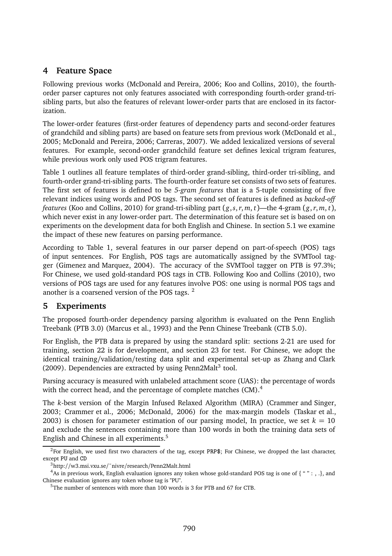### **4 Feature Space**

Following previous works (McDonald and Pereira, 2006; Koo and Collins, 2010), the fourthorder parser captures not only features associated with corresponding fourth-order grand-trisibling parts, but also the features of relevant lower-order parts that are enclosed in its factorization.

The lower-order features (first-order features of dependency parts and second-order features of grandchild and sibling parts) are based on feature sets from previous work (McDonald et al., 2005; McDonald and Pereira, 2006; Carreras, 2007). We added lexicalized versions of several features. For example, second-order grandchild feature set defines lexical trigram features, while previous work only used POS trigram features.

Table 1 outlines all feature templates of third-order grand-sibling, third-order tri-sibling, and fourth-order grand-tri-sibling parts. The fourth-order feature set consists of two sets of features. The first set of features is defined to be *5-gram features* that is a 5-tuple consisting of five relevant indices using words and POS tags. The second set of features is defined as *backed-off features* (Koo and Collins, 2010) for grand-tri-sibling part  $(g, s, r, m, t)$ —the 4-gram  $(g, r, m, t)$ , which never exist in any lower-order part. The determination of this feature set is based on on experiments on the development data for both English and Chinese. In section 5.1 we examine the impact of these new features on parsing performance.

According to Table 1, several features in our parser depend on part-of-speech (POS) tags of input sentences. For English, POS tags are automatically assigned by the SVMTool tagger (Gimenez and Marquez, 2004). The accuracy of the SVMTool tagger on PTB is 97.3%; For Chinese, we used gold-standard POS tags in CTB. Following Koo and Collins (2010), two versions of POS tags are used for any features involve POS: one using is normal POS tags and another is a coarsened version of the POS tags.<sup>2</sup>

### **5 Experiments**

The proposed fourth-order dependency parsing algorithm is evaluated on the Penn English Treebank (PTB 3.0) (Marcus et al., 1993) and the Penn Chinese Treebank (CTB 5.0).

For English, the PTB data is prepared by using the standard split: sections 2-21 are used for training, section 22 is for development, and section 23 for test. For Chinese, we adopt the identical training/validation/testing data split and experimental set-up as Zhang and Clark  $(2009)$ . Dependencies are extracted by using Penn2Malt<sup>3</sup> tool.

Parsing accuracy is measured with unlabeled attachment score (UAS): the percentage of words with the correct head, and the percentage of complete matches (CM).<sup>4</sup>

The *k*-best version of the Margin Infused Relaxed Algorithm (MIRA) (Crammer and Singer, 2003; Crammer et al., 2006; McDonald, 2006) for the max-margin models (Taskar et al., 2003) is chosen for parameter estimation of our parsing model, In practice, we set  $k = 10$ and exclude the sentences containing more than 100 words in both the training data sets of English and Chinese in all experiments.<sup>5</sup>

<sup>&</sup>lt;sup>2</sup>For English, we used first two characters of the tag, except PRP\$; For Chinese, we dropped the last character, except PU and CD

<sup>3</sup>http://w3.msi.vxu.se/˜nivre/research/Penn2Malt.html

 $^4$ As in previous work, English evaluation ignores any token whose gold-standard POS tag is one of { " " : , .}, and Chinese evaluation ignores any token whose tag is "PU".

<sup>&</sup>lt;sup>5</sup>The number of sentences with more than 100 words is 3 for PTB and 67 for CTB.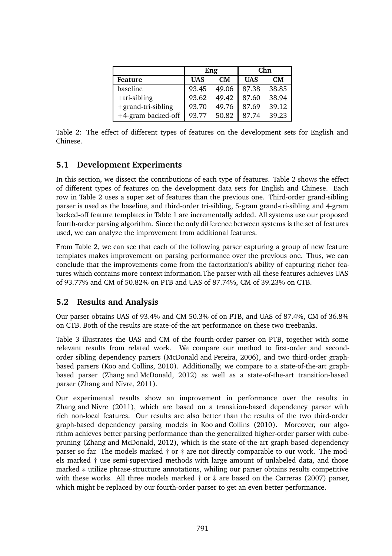|                       | Eng        |                | Chn        |       |
|-----------------------|------------|----------------|------------|-------|
| Feature               | <b>UAS</b> | CM <sub></sub> | <b>UAS</b> | CМ    |
| baseline              | 93.45      | 49.06          | 87.38      | 38.85 |
| $+tri$ -sibling       | 93.62      | 49.42          | 87.60      | 38.94 |
| $+$ grand-tri-sibling | 93.70      | 49.76          | 87.69      | 39.12 |
| +4-gram backed-off    | 93.77      | 50.82          | 87.74      | 39.23 |

Table 2: The effect of different types of features on the development sets for English and Chinese.

#### **5.1 Development Experiments**

In this section, we dissect the contributions of each type of features. Table 2 shows the effect of different types of features on the development data sets for English and Chinese. Each row in Table 2 uses a super set of features than the previous one. Third-order grand-sibling parser is used as the baseline, and third-order tri-sibling, 5-gram grand-tri-sibling and 4-gram backed-off feature templates in Table 1 are incrementally added. All systems use our proposed fourth-order parsing algorithm. Since the only difference between systems is the set of features used, we can analyze the improvement from additional features.

From Table 2, we can see that each of the following parser capturing a group of new feature templates makes improvement on parsing performance over the previous one. Thus, we can conclude that the improvements come from the factorization's ability of capturing richer features which contains more context information.The parser with all these features achieves UAS of 93.77% and CM of 50.82% on PTB and UAS of 87.74%, CM of 39.23% on CTB.

### **5.2 Results and Analysis**

Our parser obtains UAS of 93.4% and CM 50.3% of on PTB, and UAS of 87.4%, CM of 36.8% on CTB. Both of the results are state-of-the-art performance on these two treebanks.

Table 3 illustrates the UAS and CM of the fourth-order parser on PTB, together with some relevant results from related work. We compare our method to first-order and secondorder sibling dependency parsers (McDonald and Pereira, 2006), and two third-order graphbased parsers (Koo and Collins, 2010). Additionally, we compare to a state-of-the-art graphbased parser (Zhang and McDonald, 2012) as well as a state-of-the-art transition-based parser (Zhang and Nivre, 2011).

Our experimental results show an improvement in performance over the results in Zhang and Nivre (2011), which are based on a transition-based dependency parser with rich non-local features. Our results are also better than the results of the two third-order graph-based dependency parsing models in Koo and Collins (2010). Moreover, our algorithm achieves better parsing performance than the generalized higher-order parser with cubepruning (Zhang and McDonald, 2012), which is the state-of-the-art graph-based dependency parser so far. The models marked † or ‡ are not directly comparable to our work. The models marked † use semi-supervised methods with large amount of unlabeled data, and those marked ‡ utilize phrase-structure annotations, whiling our parser obtains results competitive with these works. All three models marked  $\dagger$  or  $\dagger$  are based on the Carreras (2007) parser, which might be replaced by our fourth-order parser to get an even better performance.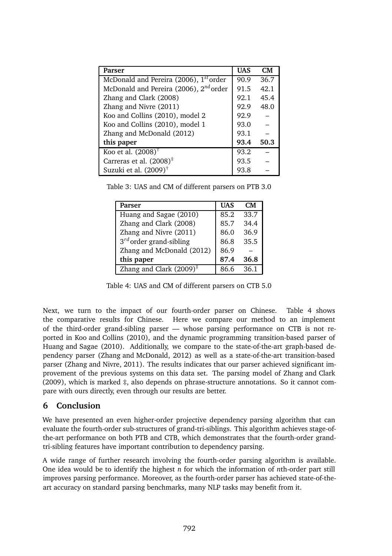| Parser                                             | <b>UAS</b> | CM   |
|----------------------------------------------------|------------|------|
| McDonald and Pereira (2006), 1 <sup>st</sup> order | 90.9       | 36.7 |
| McDonald and Pereira (2006), 2 <sup>nd</sup> order | 91.5       | 42.1 |
| Zhang and Clark (2008)                             | 92.1       | 45.4 |
| Zhang and Nivre (2011)                             | 92.9       | 48.0 |
| Koo and Collins (2010), model 2                    | 92.9       |      |
| Koo and Collins (2010), model 1                    | 93.0       |      |
| Zhang and McDonald (2012)                          | 93.1       |      |
| this paper                                         | 93.4       | 50.3 |
| Koo et al. $(2008)$ <sup>†</sup>                   | 93.2       |      |
| Carreras et al. $(2008)^*$                         | 93.5       |      |
| Suzuki et al. $(2009)^{\dagger}$                   | 93.8       |      |

Table 3: UAS and CM of different parsers on PTB 3.0

| Parser                              | <b>UAS</b> | CМ   |
|-------------------------------------|------------|------|
| Huang and Sagae (2010)              | 85.2       | 33.7 |
| Zhang and Clark (2008)              | 85.7       | 34.4 |
| Zhang and Nivre (2011)              | 86.0       | 36.9 |
| $3^{rd}$ order grand-sibling        | 86.8       | 35.5 |
| Zhang and McDonald (2012)           | 86.9       |      |
| this paper                          | 87.4       | 36.8 |
| Zhang and Clark $(2009)^{\ddagger}$ | 86 6       | 36.1 |

Table 4: UAS and CM of different parsers on CTB 5.0

Next, we turn to the impact of our fourth-order parser on Chinese. Table 4 shows the comparative results for Chinese. Here we compare our method to an implement of the third-order grand-sibling parser — whose parsing performance on CTB is not reported in Koo and Collins (2010), and the dynamic programming transition-based parser of Huang and Sagae (2010). Additionally, we compare to the state-of-the-art graph-based dependency parser (Zhang and McDonald, 2012) as well as a state-of-the-art transition-based parser (Zhang and Nivre, 2011). The results indicates that our parser achieved significant improvement of the previous systems on this data set. The parsing model of Zhang and Clark (2009), which is marked ‡, also depends on phrase-structure annotations. So it cannot compare with ours directly, even through our results are better.

### **6 Conclusion**

We have presented an even higher-order projective dependency parsing algorithm that can evaluate the fourth-order sub-structures of grand-tri-siblings. This algorithm achieves stage-ofthe-art performance on both PTB and CTB, which demonstrates that the fourth-order grandtri-sibling features have important contribution to dependency parsing.

A wide range of further research involving the fourth-order parsing algorithm is available. One idea would be to identify the highest *n* for which the information of *n*th-order part still improves parsing performance. Moreover, as the fourth-order parser has achieved state-of-theart accuracy on standard parsing benchmarks, many NLP tasks may benefit from it.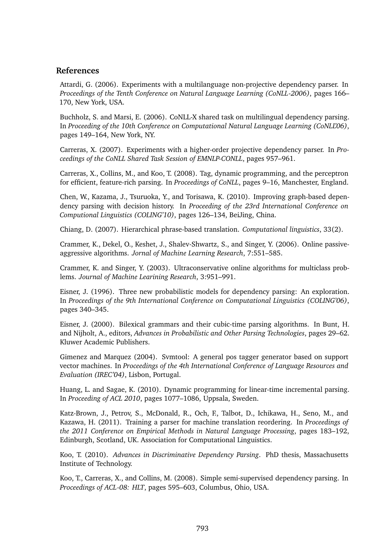#### **References**

Attardi, G. (2006). Experiments with a multilanguage non-projective dependency parser. In *Proceedings of the Tenth Conference on Natural Language Learning (CoNLL-2006)*, pages 166– 170, New York, USA.

Buchholz, S. and Marsi, E. (2006). CoNLL-X shared task on multilingual dependency parsing. In *Proceeding of the 10th Conference on Computational Natural Language Learning (CoNLL'06)*, pages 149–164, New York, NY.

Carreras, X. (2007). Experiments with a higher-order projective dependency parser. In *Proceedings of the CoNLL Shared Task Session of EMNLP-CONLL*, pages 957–961.

Carreras, X., Collins, M., and Koo, T. (2008). Tag, dynamic programming, and the perceptron for efficient, feature-rich parsing. In *Proceedings of CoNLL*, pages 9–16, Manchester, England.

Chen, W., Kazama, J., Tsuruoka, Y., and Torisawa, K. (2010). Improving graph-based dependency parsing with decision history. In *Proceeding of the 23rd International Conference on Computional Linguistics (COLING'10)*, pages 126–134, BeiJing, China.

Chiang, D. (2007). Hierarchical phrase-based translation. *Computational linguistics*, 33(2).

Crammer, K., Dekel, O., Keshet, J., Shalev-Shwartz, S., and Singer, Y. (2006). Online passiveaggressive algorithms. *Jornal of Machine Learning Research*, 7:551–585.

Crammer, K. and Singer, Y. (2003). Ultraconservative online algorithms for multiclass problems. *Journal of Machine Learining Research*, 3:951–991.

Eisner, J. (1996). Three new probabilistic models for dependency parsing: An exploration. In *Proceedings of the 9th International Conference on Computational Linguistics (COLING'06)*, pages 340–345.

Eisner, J. (2000). Bilexical grammars and their cubic-time parsing algorithms. In Bunt, H. and Nijholt, A., editors, *Advances in Probabilistic and Other Parsing Technologies*, pages 29–62. Kluwer Academic Publishers.

Gimenez and Marquez (2004). Svmtool: A general pos tagger generator based on support vector machines. In *Proceedings of the 4th International Conference of Language Resources and Evaluation (IREC'04)*, Lisbon, Portugal.

Huang, L. and Sagae, K. (2010). Dynamic programming for linear-time incremental parsing. In *Proceeding of ACL 2010*, pages 1077–1086, Uppsala, Sweden.

Katz-Brown, J., Petrov, S., McDonald, R., Och, F., Talbot, D., Ichikawa, H., Seno, M., and Kazawa, H. (2011). Training a parser for machine translation reordering. In *Proceedings of the 2011 Conference on Empirical Methods in Natural Language Processing*, pages 183–192, Edinburgh, Scotland, UK. Association for Computational Linguistics.

Koo, T. (2010). *Advances in Discriminative Dependency Parsing*. PhD thesis, Massachusetts Institute of Technology.

Koo, T., Carreras, X., and Collins, M. (2008). Simple semi-supervised dependency parsing. In *Proceedings of ACL-08: HLT*, pages 595–603, Columbus, Ohio, USA.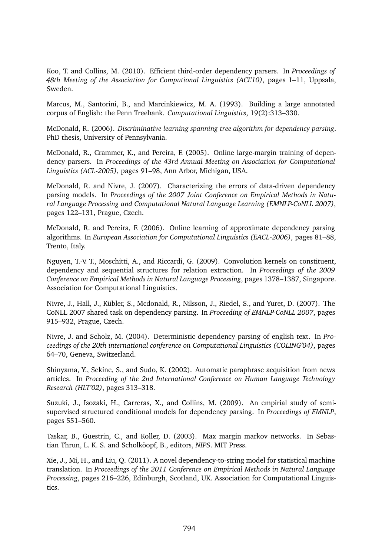Koo, T. and Collins, M. (2010). Efficient third-order dependency parsers. In *Proceedings of 48th Meeting of the Association for Computional Linguistics (ACL'10)*, pages 1–11, Uppsala, Sweden.

Marcus, M., Santorini, B., and Marcinkiewicz, M. A. (1993). Building a large annotated corpus of English: the Penn Treebank. *Computational Linguistics*, 19(2):313–330.

McDonald, R. (2006). *Discriminative learning spanning tree algorithm for dependency parsing*. PhD thesis, University of Pennsylvania.

McDonald, R., Crammer, K., and Pereira, F. (2005). Online large-margin training of dependency parsers. In *Proceedings of the 43rd Annual Meeting on Association for Computational Linguistics (ACL-2005)*, pages 91–98, Ann Arbor, Michigan, USA.

McDonald, R. and Nivre, J. (2007). Characterizing the errors of data-driven dependency parsing models. In *Proceedings of the 2007 Joint Conference on Empirical Methods in Natural Language Processing and Computational Natural Language Learning (EMNLP-CoNLL 2007)*, pages 122–131, Prague, Czech.

McDonald, R. and Pereira, F. (2006). Online learning of approximate dependency parsing algorithms. In *European Association for Computational Linguistics (EACL-2006)*, pages 81–88, Trento, Italy.

Nguyen, T.-V. T., Moschitti, A., and Riccardi, G. (2009). Convolution kernels on constituent, dependency and sequential structures for relation extraction. In *Proceedings of the 2009 Conference on Empirical Methods in Natural Language Processing*, pages 1378–1387, Singapore. Association for Computational Linguistics.

Nivre, J., Hall, J., Kübler, S., Mcdonald, R., Nilsson, J., Riedel, S., and Yuret, D. (2007). The CoNLL 2007 shared task on dependency parsing. In *Proceeding of EMNLP-CoNLL 2007*, pages 915–932, Prague, Czech.

Nivre, J. and Scholz, M. (2004). Deterministic dependency parsing of english text. In *Proceedings of the 20th international conference on Computational Linguistics (COLING'04)*, pages 64–70, Geneva, Switzerland.

Shinyama, Y., Sekine, S., and Sudo, K. (2002). Automatic paraphrase acquisition from news articles. In *Proceeding of the 2nd International Conference on Human Language Technology Research (HLT'02)*, pages 313–318.

Suzuki, J., Isozaki, H., Carreras, X., and Collins, M. (2009). An empirial study of semisupervised structured conditional models for dependency parsing. In *Proceedings of EMNLP*, pages 551–560.

Taskar, B., Guestrin, C., and Koller, D. (2003). Max margin markov networks. In Sebastian Thrun, L. K. S. and Scholköopf, B., editors, *NIPS*. MIT Press.

Xie, J., Mi, H., and Liu, Q. (2011). A novel dependency-to-string model for statistical machine translation. In *Proceedings of the 2011 Conference on Empirical Methods in Natural Language Processing*, pages 216–226, Edinburgh, Scotland, UK. Association for Computational Linguistics.